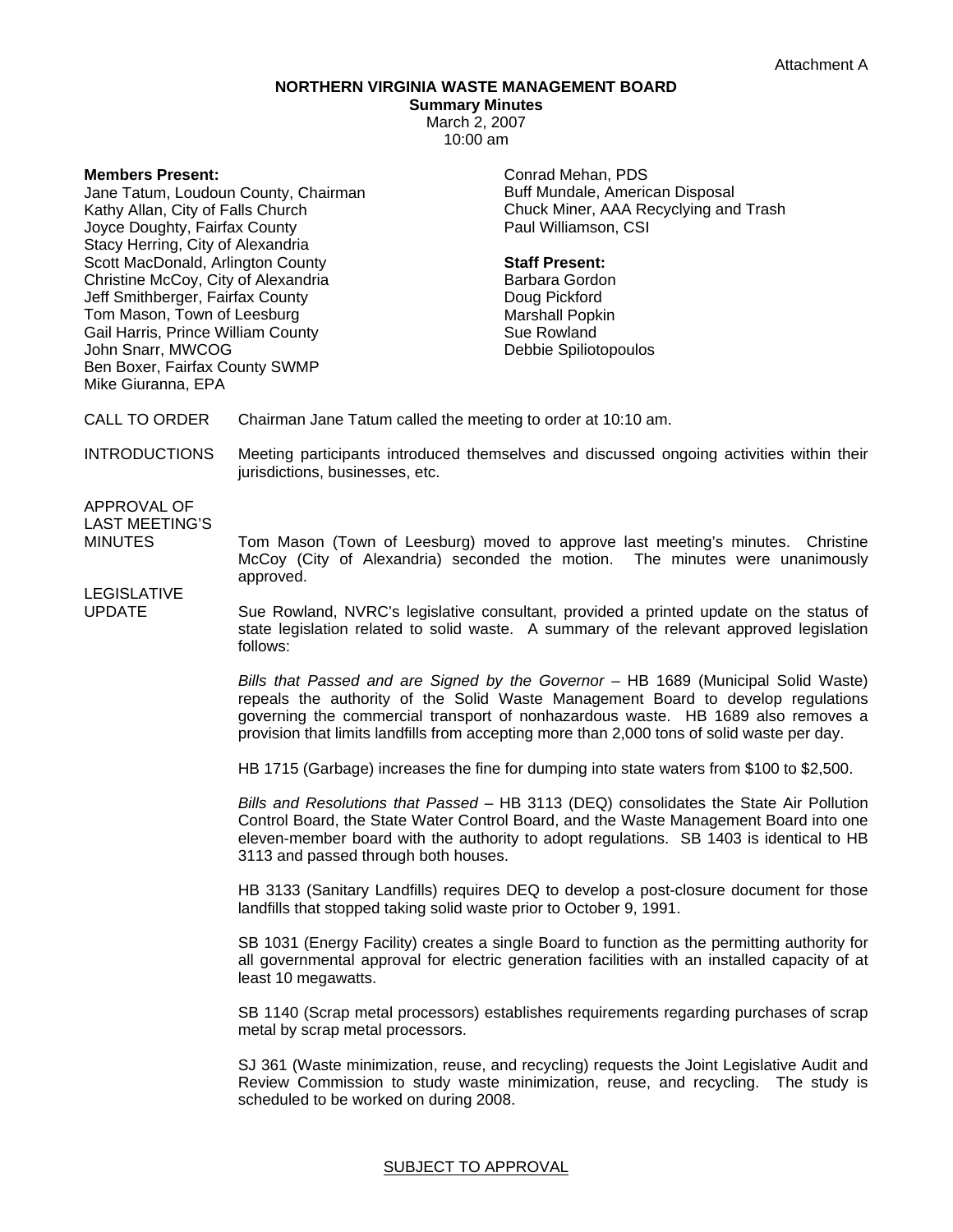## **NORTHERN VIRGINIA WASTE MANAGEMENT BOARD**

**Summary Minutes**  March 2, 2007

10:00 am

**Members Present:** 

Jane Tatum, Loudoun County, Chairman Kathy Allan, City of Falls Church Joyce Doughty, Fairfax County Stacy Herring, City of Alexandria Scott MacDonald, Arlington County Christine McCoy, City of Alexandria Jeff Smithberger, Fairfax County Tom Mason, Town of Leesburg Gail Harris, Prince William County John Snarr, MWCOG Ben Boxer, Fairfax County SWMP Mike Giuranna, EPA

Conrad Mehan, PDS Buff Mundale, American Disposal Chuck Miner, AAA Recyclying and Trash Paul Williamson, CSI

## **Staff Present:**

Barbara Gordon Doug Pickford Marshall Popkin Sue Rowland Debbie Spiliotopoulos

CALL TO ORDER Chairman Jane Tatum called the meeting to order at 10:10 am.

INTRODUCTIONS Meeting participants introduced themselves and discussed ongoing activities within their jurisdictions, businesses, etc.

APPROVAL OF LAST MEETING'S

MINUTES Tom Mason (Town of Leesburg) moved to approve last meeting's minutes. Christine McCoy (City of Alexandria) seconded the motion. The minutes were unanimously approved.

LEGISLATIVE

UPDATE Sue Rowland, NVRC's legislative consultant, provided a printed update on the status of state legislation related to solid waste. A summary of the relevant approved legislation follows:

> *Bills that Passed and are Signed by the Governor* – HB 1689 (Municipal Solid Waste) repeals the authority of the Solid Waste Management Board to develop regulations governing the commercial transport of nonhazardous waste. HB 1689 also removes a provision that limits landfills from accepting more than 2,000 tons of solid waste per day.

HB 1715 (Garbage) increases the fine for dumping into state waters from \$100 to \$2,500.

*Bills and Resolutions that Passed* – HB 3113 (DEQ) consolidates the State Air Pollution Control Board, the State Water Control Board, and the Waste Management Board into one eleven-member board with the authority to adopt regulations. SB 1403 is identical to HB 3113 and passed through both houses.

HB 3133 (Sanitary Landfills) requires DEQ to develop a post-closure document for those landfills that stopped taking solid waste prior to October 9, 1991.

SB 1031 (Energy Facility) creates a single Board to function as the permitting authority for all governmental approval for electric generation facilities with an installed capacity of at least 10 megawatts.

SB 1140 (Scrap metal processors) establishes requirements regarding purchases of scrap metal by scrap metal processors.

SJ 361 (Waste minimization, reuse, and recycling) requests the Joint Legislative Audit and Review Commission to study waste minimization, reuse, and recycling. The study is scheduled to be worked on during 2008.

## SUBJECT TO APPROVAL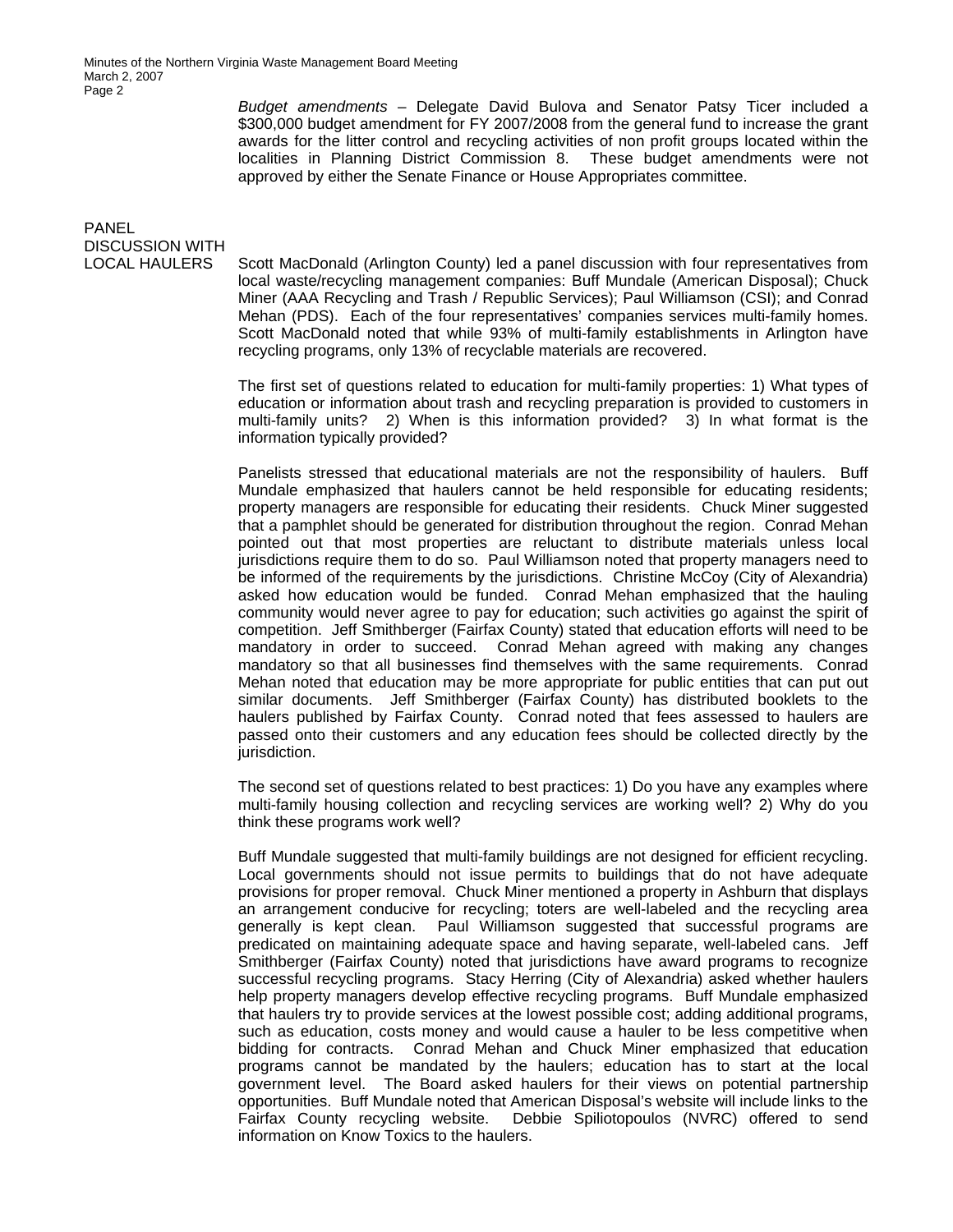Minutes of the Northern Virginia Waste Management Board Meeting March 2, 2007 Page 2

> *Budget amendments* – Delegate David Bulova and Senator Patsy Ticer included a \$300,000 budget amendment for FY 2007/2008 from the general fund to increase the grant awards for the litter control and recycling activities of non profit groups located within the localities in Planning District Commission 8. These budget amendments were not approved by either the Senate Finance or House Appropriates committee.

## PANEL DISCUSSION WITH

LOCAL HAULERS Scott MacDonald (Arlington County) led a panel discussion with four representatives from local waste/recycling management companies: Buff Mundale (American Disposal); Chuck Miner (AAA Recycling and Trash / Republic Services); Paul Williamson (CSI); and Conrad Mehan (PDS). Each of the four representatives' companies services multi-family homes. Scott MacDonald noted that while 93% of multi-family establishments in Arlington have recycling programs, only 13% of recyclable materials are recovered.

> The first set of questions related to education for multi-family properties: 1) What types of education or information about trash and recycling preparation is provided to customers in multi-family units? 2) When is this information provided? 3) In what format is the information typically provided?

> Panelists stressed that educational materials are not the responsibility of haulers. Buff Mundale emphasized that haulers cannot be held responsible for educating residents; property managers are responsible for educating their residents. Chuck Miner suggested that a pamphlet should be generated for distribution throughout the region. Conrad Mehan pointed out that most properties are reluctant to distribute materials unless local jurisdictions require them to do so. Paul Williamson noted that property managers need to be informed of the requirements by the jurisdictions. Christine McCoy (City of Alexandria) asked how education would be funded. Conrad Mehan emphasized that the hauling community would never agree to pay for education; such activities go against the spirit of competition. Jeff Smithberger (Fairfax County) stated that education efforts will need to be mandatory in order to succeed. Conrad Mehan agreed with making any changes mandatory so that all businesses find themselves with the same requirements. Conrad Mehan noted that education may be more appropriate for public entities that can put out similar documents. Jeff Smithberger (Fairfax County) has distributed booklets to the haulers published by Fairfax County. Conrad noted that fees assessed to haulers are passed onto their customers and any education fees should be collected directly by the jurisdiction.

> The second set of questions related to best practices: 1) Do you have any examples where multi-family housing collection and recycling services are working well? 2) Why do you think these programs work well?

> Buff Mundale suggested that multi-family buildings are not designed for efficient recycling. Local governments should not issue permits to buildings that do not have adequate provisions for proper removal. Chuck Miner mentioned a property in Ashburn that displays an arrangement conducive for recycling; toters are well-labeled and the recycling area generally is kept clean. Paul Williamson suggested that successful programs are predicated on maintaining adequate space and having separate, well-labeled cans. Jeff Smithberger (Fairfax County) noted that jurisdictions have award programs to recognize successful recycling programs. Stacy Herring (City of Alexandria) asked whether haulers help property managers develop effective recycling programs. Buff Mundale emphasized that haulers try to provide services at the lowest possible cost; adding additional programs, such as education, costs money and would cause a hauler to be less competitive when bidding for contracts. Conrad Mehan and Chuck Miner emphasized that education programs cannot be mandated by the haulers; education has to start at the local government level. The Board asked haulers for their views on potential partnership opportunities. Buff Mundale noted that American Disposal's website will include links to the Fairfax County recycling website. Debbie Spiliotopoulos (NVRC) offered to send information on Know Toxics to the haulers.